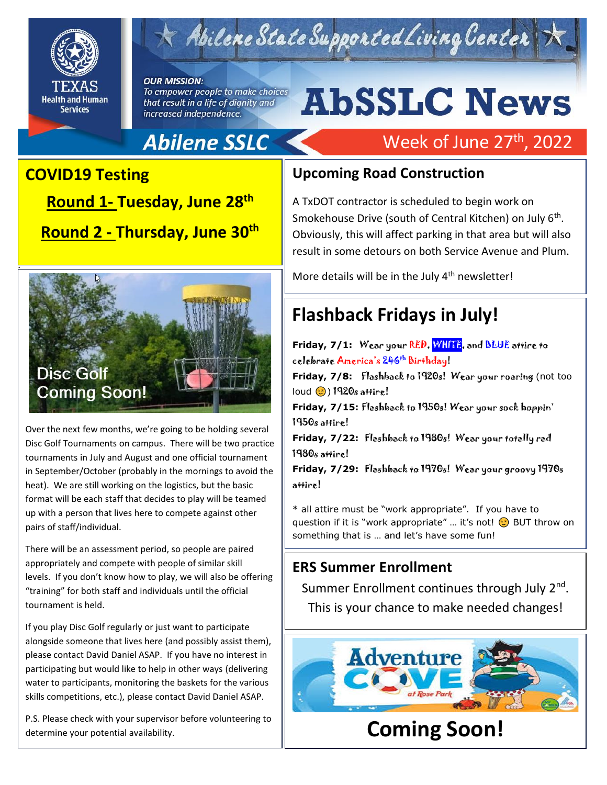

Abilene State Supported Living Center

#### **OUR MISSION:** To empower people to make choices that result in a life of dignity and increased independence.

# **AbSSLC News**

Week of June 27<sup>th</sup>, 2022

## **Abilene SSLC**

### **COVID19 Testing**

**Shout Outs! Round 1- Tuesday, June 28th Round 2 - Thursday, June 30th**



Over the next few months, we're going to be holding several Disc Golf Tournaments on campus. There will be two practice tournaments in July and August and one official tournament in September/October (probably in the mornings to avoid the heat). We are still working on the logistics, but the basic format will be each staff that decides to play will be teamed up with a person that lives here to compete against other pairs of staff/individual.

There will be an assessment period, so people are paired appropriately and compete with people of similar skill levels. If you don't know how to play, we will also be offering "training" for both staff and individuals until the official tournament is held.

If you play Disc Golf regularly or just want to participate alongside someone that lives here (and possibly assist them), please contact David Daniel ASAP. If you have no interest in participating but would like to help in other ways (delivering water to participants, monitoring the baskets for the various skills competitions, etc.), please contact David Daniel ASAP.

P.S. Please check with your supervisor before volunteering to P.S. Please check with your supervisor before volumeering to  $\parallel$  **Coming Soon!** 

### **Upcoming Road Construction**

A TxDOT contractor is scheduled to begin work on Smokehouse Drive (south of Central Kitchen) on July 6<sup>th</sup>. Obviously, this will affect parking in that area but will also result in some detours on both Service Avenue and Plum.

More details will be in the July 4<sup>th</sup> newsletter!

## **Flashback Fridays in July!**

**Friday, 7/1:** Wear your RED, WHITE, and BLUE attire to celebrate America's 246th Birthday! **Friday, 7/8:** Flashback to 1920s! Wear your roaring (not too  $load$   $\odot$ ) 1920s attire! **Friday, 7/15:** Flashback to 1950s! Wear your sock hoppin' 1950s attire! **Friday, 7/22:** Flashback to 1980s! Wear your totally rad 1980s attire! **Friday, 7/29:** Flashback to 1970s! Wear your groovy 1970s attire!

\* all attire must be "work appropriate". If you have to question if it is "work appropriate" ... it's not! **BUT** throw on something that is … and let's have some fun!

### **ERS Summer Enrollment**

Summer Enrollment continues through July 2<sup>nd</sup>. This is your chance to make needed changes!